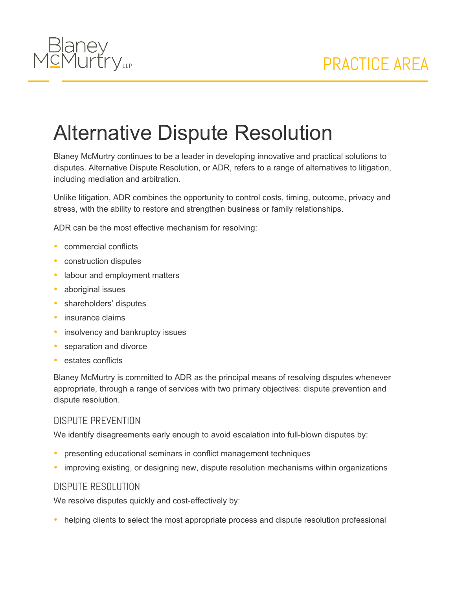

## Alternative Dispute Resolution

Blaney McMurtry continues to be a leader in developing innovative and practical solutions to disputes. Alternative Dispute Resolution, or ADR, refers to a range of alternatives to litigation, including mediation and arbitration.

Unlike litigation, ADR combines the opportunity to control costs, timing, outcome, privacy and stress, with the ability to restore and strengthen business or family relationships.

ADR can be the most effective mechanism for resolving:

- commercial conflicts
- construction disputes
- labour and employment matters
- aboriginal issues
- shareholders' disputes
- insurance claims
- insolvency and bankruptcy issues
- separation and divorce
- estates conflicts

Blaney McMurtry is committed to ADR as the principal means of resolving disputes whenever appropriate, through a range of services with two primary objectives: dispute prevention and dispute resolution.

## DISPUTE PREVENTION

We identify disagreements early enough to avoid escalation into full-blown disputes by:

- presenting educational seminars in conflict management techniques
- improving existing, or designing new, dispute resolution mechanisms within organizations

## DISPUTE RESOLUTION

We resolve disputes quickly and cost-effectively by:

• helping clients to select the most appropriate process and dispute resolution professional